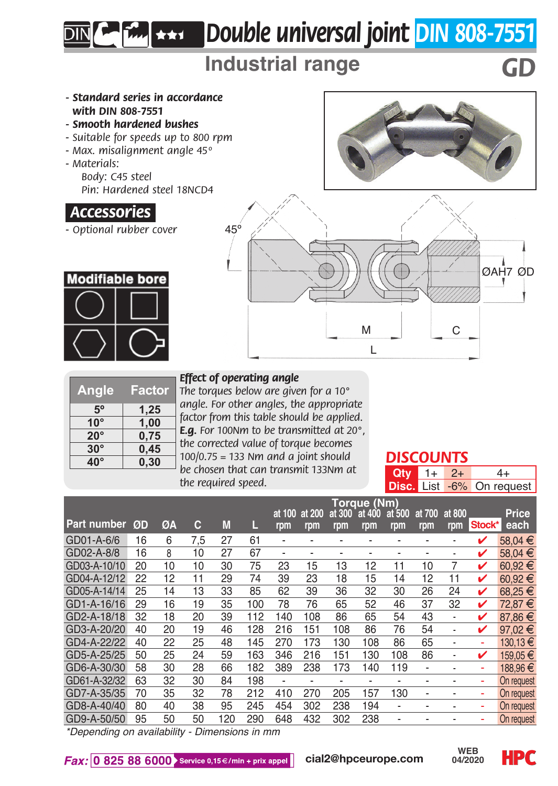# *Double universal joint DIN 808-7551*

# **Industrial range** *GD*

- *Standard series in accordance with DIN 808-7551*
- *Smooth hardened bushes*
- *Suitable for speeds up to 800 rpm*
- *Max. misalignment angle 45º*
- *Materials:*

*Body: C45 steel Pin: Hardened steel 18NCD4*

### *.Accessories.*

*- Optional rubber cover*





| Angle        | Factor |
|--------------|--------|
| $5^{\circ}$  | 1,25   |
| $10^{\circ}$ | 1,00   |
| $20^{\circ}$ | 0,75   |
| $30^\circ$   | 0,45   |
| $40^\circ$   | 0,30   |
|              |        |

#### *Effect of operating angle*

*The torques below are given for a 10° angle. For other angles, the appropriate factor from this table should be applied. E.g. For 100Nm to be transmitted at 20°, the corrected value of torque becomes 100/0.75 = 133 Nm and a joint should be chosen that can transmit 133Nm at the required speed.*

### *DISCOUNTS*

**Qty** 1+ 2+ 4+<br>**Disc** List -6% On req List -6% On request

|              |    |    |     |     |     | <b>Toraue (Nm)</b>       |               |                          |                          |               |                          |               |        |                      |  |
|--------------|----|----|-----|-----|-----|--------------------------|---------------|--------------------------|--------------------------|---------------|--------------------------|---------------|--------|----------------------|--|
| Part number  | ØD | ØΑ | c   | M   | L   | at 100<br>rpm            | at 200<br>rpm | at 300<br>rpm            | at 400<br>rpm            | at 500<br>rpm | at 700<br>rpm            | at 800<br>rpm | Stock* | <b>Price</b><br>each |  |
|              |    |    |     |     |     |                          |               |                          |                          |               |                          |               |        |                      |  |
| GD01-A-6/6   | 16 | 6  | 7.5 | 27  | 61  | $\overline{\phantom{a}}$ | ۰             |                          | $\overline{\phantom{a}}$ | -             | ٠                        | ۰             | v      | 58.04 €              |  |
| GD02-A-8/8   | 16 | 8  | 10  | 27  | 67  | $\overline{\phantom{0}}$ | ۰             |                          | $\overline{\phantom{a}}$ | ٠             |                          | ۰             | ✓      | 58.04 €              |  |
| GD03-A-10/10 | 20 | 10 | 10  | 30  | 75  | 23                       | 15            | 13                       | 12                       | 11            | 10                       | 7             | ✓      | 60.92€               |  |
| GD04-A-12/12 | 22 | 12 | 11  | 29  | 74  | 39                       | 23            | 18                       | 15                       | 14            | 12                       | 11            | v      | 60.92€               |  |
| GD05-A-14/14 | 25 | 14 | 13  | 33  | 85  | 62                       | 39            | 36                       | 32                       | 30            | 26                       | 24            | v      | 68.25€               |  |
| GD1-A-16/16  | 29 | 16 | 19  | 35  | 100 | 78                       | 76            | 65                       | 52                       | 46            | 37                       | 32            | v      | 72.87€               |  |
| GD2-A-18/18  | 32 | 18 | 20  | 39  | 112 | 140                      | 108           | 86                       | 65                       | 54            | 43                       | ۰             | v      | 87.86€               |  |
| GD3-A-20/20  | 40 | 20 | 19  | 46  | 128 | 216                      | 151           | 108                      | 86                       | 76            | 54                       | ۰             | v      | 97.02€               |  |
| GD4-A-22/22  | 40 | 22 | 25  | 48  | 145 | 270                      | 173           | 130                      | 108                      | 86            | 65                       | ۰             | ٠      | 130.13 €             |  |
| GD5-A-25/25  | 50 | 25 | 24  | 59  | 163 | 346                      | 216           | 151                      | 130                      | 108           | 86                       | ۰             | ✓      | 159.05€              |  |
| GD6-A-30/30  | 58 | 30 | 28  | 66  | 182 | 389                      | 238           | 173                      | 140                      | 119           | $\blacksquare$           | ۰             | ٠      | 188.96€              |  |
| GD61-A-32/32 | 63 | 32 | 30  | 84  | 198 | $\overline{\phantom{0}}$ | ۰             | $\overline{\phantom{0}}$ | $\overline{\phantom{a}}$ | -             | -                        |               | ۰      | On request           |  |
| GD7-A-35/35  | 70 | 35 | 32  | 78  | 212 | 410                      | 270           | 205                      | 157                      | 130           | $\overline{\phantom{a}}$ |               | ٠      | On request           |  |
| GD8-A-40/40  | 80 | 40 | 38  | 95  | 245 | 454                      | 302           | 238                      | 194                      | -             | -                        |               | ۰      | On request           |  |
| GD9-A-50/50  | 95 | 50 | 50  | 120 | 290 | 648                      | 432           | 302                      | 238                      | ٠             |                          |               | ۰      | On request           |  |

*\*Depending on availability - Dimensions in mm*